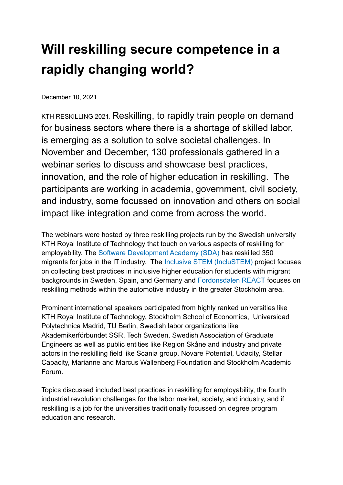## **Will reskilling secure competence in a rapidly changing world?**

December 10, 2021

KTH RESKILLING 2021. Reskilling, to rapidly train people on demand for business sectors where there is a shortage of skilled labor, is emerging as a solution to solve societal challenges. In November and December, 130 professionals gathered in a webinar series to discuss and showcase best practices, innovation, and the role of higher education in reskilling. The participants are working in academia, government, civil society, and industry, some focussed on innovation and others on social impact like integration and come from across the world.

The webinars were hosted by three reskilling projects run by the Swedish university KTH Royal Institute of Technology that touch on various aspects of reskilling for employability. The [Software Development Academy \(SDA\)](https://www.kth.se/en/itm/sda/software-development-academy-1.841849) has reskilled 350 migrants for jobs in the IT industry. The Inclusive [STEM \(IncluSTEM\)](https://inclustem.eu/) project focuses on collecting best practices in inclusive higher education for students with migrant backgrounds in Sweden, Spain, and Germany and [Fordonsdalen](https://fordonsdalen.se/) REACT focuses on reskilling methods within the automotive industry in the greater Stockholm area.

Prominent international speakers participated from highly ranked universities like KTH Royal Institute of Technology, Stockholm School of Economics, Universidad Polytechnica Madrid, TU Berlin, Swedish labor organizations like Akademikerförbundet SSR, Tech Sweden, Swedish Association of Graduate Engineers as well as public entities like Region Skåne and industry and private actors in the reskilling field like Scania group, Novare Potential, Udacity, Stellar Capacity, Marianne and Marcus Wallenberg Foundation and Stockholm Academic Forum.

Topics discussed included best practices in reskilling for employability, the fourth industrial revolution challenges for the labor market, society, and industry, and if reskilling is a job for the universities traditionally focussed on degree program education and research.